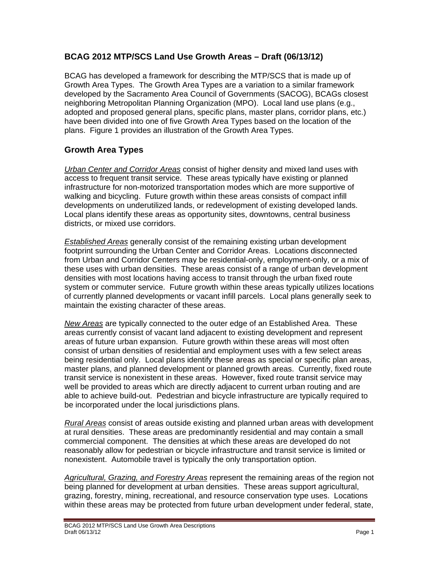## **BCAG 2012 MTP/SCS Land Use Growth Areas – Draft (06/13/12)**

BCAG has developed a framework for describing the MTP/SCS that is made up of Growth Area Types. The Growth Area Types are a variation to a similar framework developed by the Sacramento Area Council of Governments (SACOG), BCAGs closest neighboring Metropolitan Planning Organization (MPO). Local land use plans (e.g., adopted and proposed general plans, specific plans, master plans, corridor plans, etc.) have been divided into one of five Growth Area Types based on the location of the plans. Figure 1 provides an illustration of the Growth Area Types.

## **Growth Area Types**

*Urban Center and Corridor Areas* consist of higher density and mixed land uses with access to frequent transit service. These areas typically have existing or planned infrastructure for non-motorized transportation modes which are more supportive of walking and bicycling. Future growth within these areas consists of compact infill developments on underutilized lands, or redevelopment of existing developed lands. Local plans identify these areas as opportunity sites, downtowns, central business districts, or mixed use corridors.

*Established Areas* generally consist of the remaining existing urban development footprint surrounding the Urban Center and Corridor Areas. Locations disconnected from Urban and Corridor Centers may be residential-only, employment-only, or a mix of these uses with urban densities. These areas consist of a range of urban development densities with most locations having access to transit through the urban fixed route system or commuter service. Future growth within these areas typically utilizes locations of currently planned developments or vacant infill parcels. Local plans generally seek to maintain the existing character of these areas.

*New Areas* are typically connected to the outer edge of an Established Area. These areas currently consist of vacant land adjacent to existing development and represent areas of future urban expansion. Future growth within these areas will most often consist of urban densities of residential and employment uses with a few select areas being residential only. Local plans identify these areas as special or specific plan areas, master plans, and planned development or planned growth areas. Currently, fixed route transit service is nonexistent in these areas. However, fixed route transit service may well be provided to areas which are directly adjacent to current urban routing and are able to achieve build-out. Pedestrian and bicycle infrastructure are typically required to be incorporated under the local jurisdictions plans.

*Rural Areas* consist of areas outside existing and planned urban areas with development at rural densities. These areas are predominantly residential and may contain a small commercial component. The densities at which these areas are developed do not reasonably allow for pedestrian or bicycle infrastructure and transit service is limited or nonexistent. Automobile travel is typically the only transportation option.

*Agricultural, Grazing, and Forestry Areas* represent the remaining areas of the region not being planned for development at urban densities. These areas support agricultural, grazing, forestry, mining, recreational, and resource conservation type uses. Locations within these areas may be protected from future urban development under federal, state,